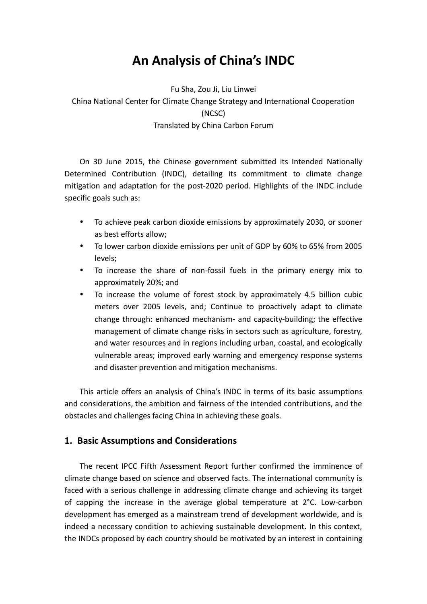# **An Analysis of China's INDC**

Fu Sha, Zou Ji, Liu Linwei China National Center for Climate Change Strategy and International Cooperation (NCSC) Translated by China Carbon Forum

On 30 June 2015, the Chinese government submitted its Intended Nationally Determined Contribution (INDC), detailing its commitment to climate change mitigation and adaptation for the post-2020 period. Highlights of the INDC include specific goals such as:

- To achieve peak carbon dioxide emissions by approximately 2030, or sooner as best efforts allow;
- To lower carbon dioxide emissions per unit of GDP by 60% to 65% from 2005 levels;
- To increase the share of non-fossil fuels in the primary energy mix to approximately 20%; and
- To increase the volume of forest stock by approximately 4.5 billion cubic meters over 2005 levels, and; Continue to proactively adapt to climate change through: enhanced mechanism- and capacity-building; the effective management of climate change risks in sectors such as agriculture, forestry, and water resources and in regions including urban, coastal, and ecologically vulnerable areas; improved early warning and emergency response systems and disaster prevention and mitigation mechanisms.

This article offers an analysis of China's INDC in terms of its basic assumptions and considerations, the ambition and fairness of the intended contributions, and the obstacles and challenges facing China in achieving these goals.

# **1. Basic Assumptions and Considerations**

The recent IPCC Fifth Assessment Report further confirmed the imminence of climate change based on science and observed facts. The international community is faced with a serious challenge in addressing climate change and achieving its target of capping the increase in the average global temperature at 2°C. Low-carbon development has emerged as a mainstream trend of development worldwide, and is indeed a necessary condition to achieving sustainable development. In this context, the INDCs proposed by each country should be motivated by an interest in containing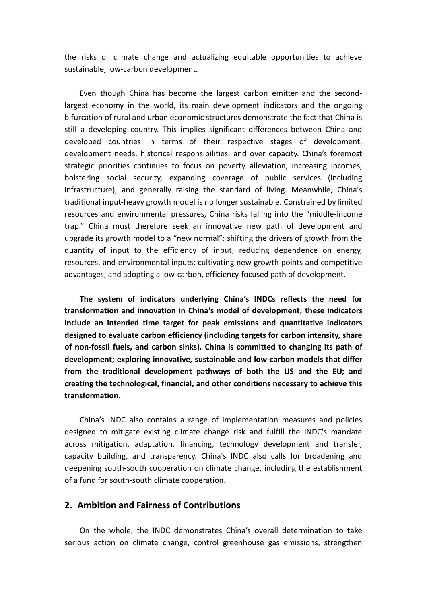the risks of climate change and actualizing equitable opportunities to achieve sustainable, low-carbon development.

Even though China has become the largest carbon emitter and the secondlargest economy in the world, its main development indicators and the ongoing bifurcation of rural and urban economic structures demonstrate the fact that China is still a developing country. This implies significant differences between China and developed countries in terms of their respective stages of development, development needs, historical responsibilities, and over capacity. China's foremost strategic priorities continues to focus on poverty alleviation, increasing incomes, bolstering social security, expanding coverage of public services (including infrastructure), and generally raising the standard of living. Meanwhile, China's traditional input-heavy growth model is no longer sustainable. Constrained by limited resources and environmental pressures, China risks falling into the "middle-income trap." China must therefore seek an innovative new path of development and upgrade its growth model to a "new normal": shifting the drivers of growth from the quantity of input to the efficiency of input; reducing dependence on energy, resources, and environmental inputs; cultivating new growth points and competitive advantages; and adopting a low-carbon, efficiency-focused path of development.

**The system of indicators underlying China's INDCs reflects the need for transformation and innovation in China's model of development; these indicators include an intended time target for peak emissions and quantitative indicators designed to evaluate carbon efficiency (including targets for carbon intensity, share of non-fossil fuels, and carbon sinks). China is committed to changing its path of development; exploring innovative, sustainable and low-carbon models that differ from the traditional development pathways of both the US and the EU; and creating the technological, financial, and other conditions necessary to achieve this transformation.** 

China's INDC also contains a range of implementation measures and policies designed to mitigate existing climate change risk and fulfill the INDC's mandate across mitigation, adaptation, financing, technology development and transfer, capacity building, and transparency. China's INDC also calls for broadening and deepening south-south cooperation on climate change, including the establishment of a fund for south-south climate cooperation.

#### **2. Ambition and Fairness of Contributions**

On the whole, the INDC demonstrates China's overall determination to take serious action on climate change, control greenhouse gas emissions, strengthen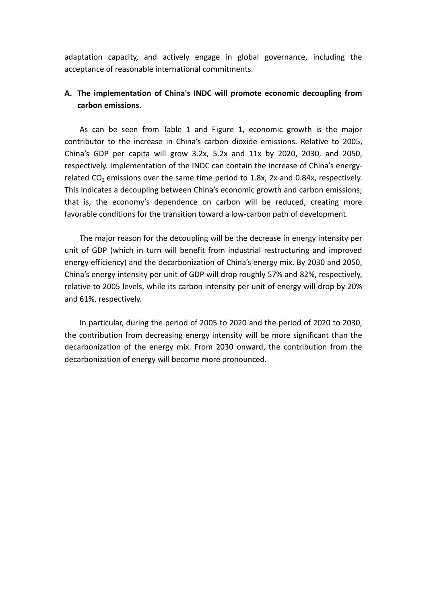adaptation capacity, and actively engage in global governance, including the acceptance of reasonable international commitments.

# **A. The implementation of China's INDC will promote economic decoupling from carbon emissions.**

As can be seen from Table 1 and Figure 1, economic growth is the major contributor to the increase in China's carbon dioxide emissions. Relative to 2005, China's GDP per capita will grow 3.2x, 5.2x and 11x by 2020, 2030, and 2050, respectively. Implementation of the INDC can contain the increase of China's energyrelated  $CO<sub>2</sub>$  emissions over the same time period to 1.8x, 2x and 0.84x, respectively. This indicates a decoupling between China's economic growth and carbon emissions; that is, the economy's dependence on carbon will be reduced, creating more favorable conditions for the transition toward a low-carbon path of development.

The major reason for the decoupling will be the decrease in energy intensity per unit of GDP (which in turn will benefit from industrial restructuring and improved energy efficiency) and the decarbonization of China's energy mix. By 2030 and 2050, China's energy intensity per unit of GDP will drop roughly 57% and 82%, respectively, relative to 2005 levels, while its carbon intensity per unit of energy will drop by 20% and 61%, respectively.

In particular, during the period of 2005 to 2020 and the period of 2020 to 2030, the contribution from decreasing energy intensity will be more significant than the decarbonization of the energy mix. From 2030 onward, the contribution from the decarbonization of energy will become more pronounced.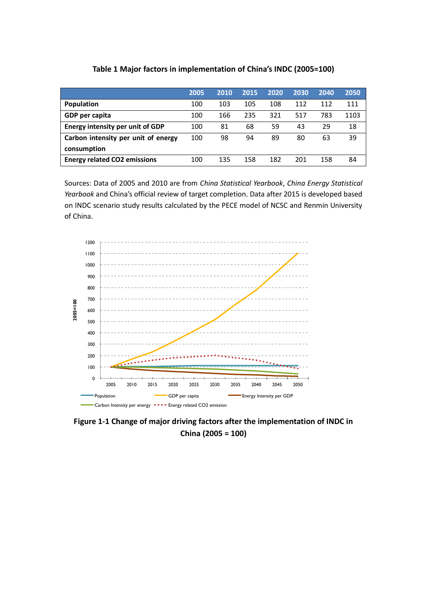|                                         | 2005 | 2010 | 2015 | 2020 | 2030 | 2040 | 2050 |
|-----------------------------------------|------|------|------|------|------|------|------|
| Population                              | 100  | 103  | 105  | 108  | 112  | 112  | 111  |
| GDP per capita                          | 100  | 166  | 235  | 321  | 517  | 783  | 1103 |
| <b>Energy intensity per unit of GDP</b> | 100  | 81   | 68   | 59   | 43   | 29   | 18   |
| Carbon intensity per unit of energy     | 100  | 98   | 94   | 89   | 80   | 63   | 39   |
| consumption                             |      |      |      |      |      |      |      |
| <b>Energy related CO2 emissions</b>     | 100  | 135  | 158  | 182  | 201  | 158  | 84   |

#### **Table 1 Major factors in implementation of China's INDC (2005=100)**

Sources: Data of 2005 and 2010 are from *China Statistical Yearbook*, *China Energy Statistical Yearbook* and China's official review of target completion. Data after 2015 is developed based on INDC scenario study results calculated by the PECE model of NCSC and Renmin University of China.



**Figure 1-1 Change of major driving factors after the implementation of INDC in China (2005 = 100)**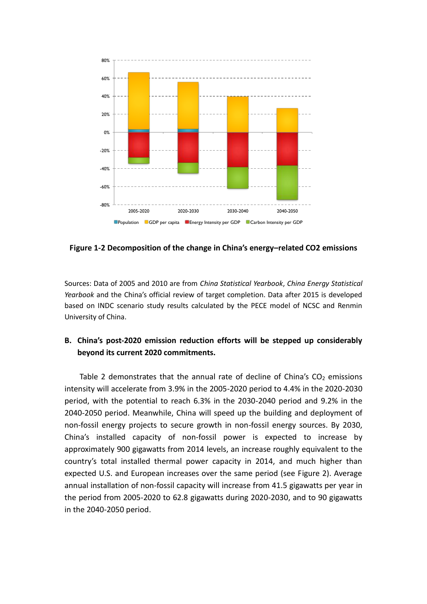

**Figure 1-2 Decomposition of the change in China's energy–related CO2 emissions** 

Sources: Data of 2005 and 2010 are from *China Statistical Yearbook*, *China Energy Statistical Yearbook* and the China's official review of target completion. Data after 2015 is developed based on INDC scenario study results calculated by the PECE model of NCSC and Renmin University of China.

## **B. China's post-2020 emission reduction efforts will be stepped up considerably beyond its current 2020 commitments.**

Table 2 demonstrates that the annual rate of decline of China's  $CO<sub>2</sub>$  emissions intensity will accelerate from 3.9% in the 2005-2020 period to 4.4% in the 2020-2030 period, with the potential to reach 6.3% in the 2030-2040 period and 9.2% in the 2040-2050 period. Meanwhile, China will speed up the building and deployment of non-fossil energy projects to secure growth in non-fossil energy sources. By 2030, China's installed capacity of non-fossil power is expected to increase by approximately 900 gigawatts from 2014 levels, an increase roughly equivalent to the country's total installed thermal power capacity in 2014, and much higher than expected U.S. and European increases over the same period (see Figure 2). Average annual installation of non-fossil capacity will increase from 41.5 gigawatts per year in the period from 2005-2020 to 62.8 gigawatts during 2020-2030, and to 90 gigawatts in the 2040-2050 period.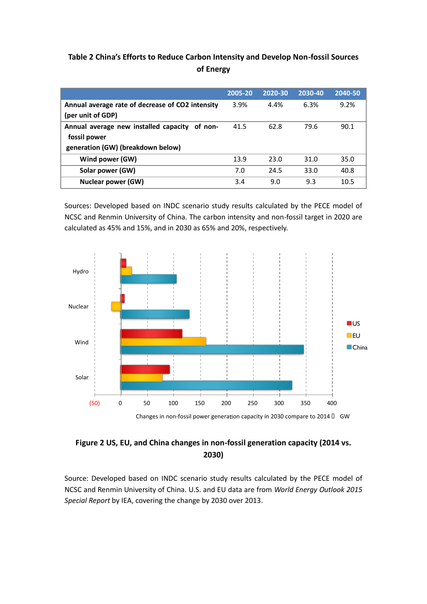# **Table 2 China's Efforts to Reduce Carbon Intensity and Develop Non-fossil Sources of Energy**

|                                                  | 2005-20 | 2020-30 | 2030-40 | 2040-50 |
|--------------------------------------------------|---------|---------|---------|---------|
| Annual average rate of decrease of CO2 intensity | 3.9%    | 4.4%    | 6.3%    | 9.2%    |
| (per unit of GDP)                                |         |         |         |         |
| Annual average new installed capacity of non-    | 41.5    | 62.8    | 79.6    | 90.1    |
| fossil power                                     |         |         |         |         |
| generation (GW) (breakdown below)                |         |         |         |         |
| Wind power (GW)                                  | 13.9    | 23.0    | 31.0    | 35.0    |
| Solar power (GW)                                 | 7.0     | 24.5    | 33.0    | 40.8    |
| Nuclear power (GW)                               | 3.4     | 9.0     | 9.3     | 10.5    |

Sources: Developed based on INDC scenario study results calculated by the PECE model of NCSC and Renmin University of China. The carbon intensity and non-fossil target in 2020 are calculated as 45% and 15%, and in 2030 as 65% and 20%, respectively.



# **Figure 2 US, EU, and China changes in non-fossil generation capacity (2014 vs. 2030)**

Source: Developed based on INDC scenario study results calculated by the PECE model of NCSC and Renmin University of China. U.S. and EU data are from *World Energy Outlook 2015 Special Report* by IEA, covering the change by 2030 over 2013.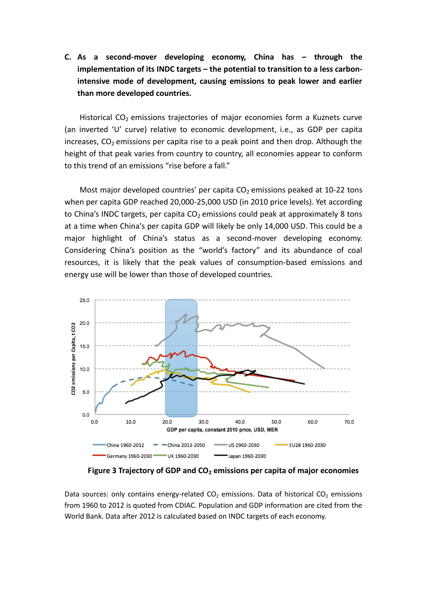# **C. As a second-mover developing economy, China has – through the implementation of its INDC targets – the potential to transition to a less carbonintensive mode of development, causing emissions to peak lower and earlier than more developed countries.**

Historical  $CO<sub>2</sub>$  emissions trajectories of major economies form a Kuznets curve (an inverted 'U' curve) relative to economic development, i.e., as GDP per capita increases,  $CO<sub>2</sub>$  emissions per capita rise to a peak point and then drop. Although the height of that peak varies from country to country, all economies appear to conform to this trend of an emissions "rise before a fall."

Most major developed countries' per capita  $CO<sub>2</sub>$  emissions peaked at 10-22 tons when per capita GDP reached 20,000-25,000 USD (in 2010 price levels). Yet according to China's INDC targets, per capita  $CO<sub>2</sub>$  emissions could peak at approximately 8 tons at a time when China's per capita GDP will likely be only 14,000 USD. This could be a major highlight of China's status as a second-mover developing economy. Considering China's position as the "world's factory" and its abundance of coal resources, it is likely that the peak values of consumption-based emissions and energy use will be lower than those of developed countries.



**Figure 3 Trajectory of GDP and CO<sup>2</sup> emissions per capita of major economies**

Data sources: only contains energy-related  $CO<sub>2</sub>$  emissions. Data of historical  $CO<sub>2</sub>$  emissions from 1960 to 2012 is quoted from CDIAC. Population and GDP information are cited from the World Bank. Data after 2012 is calculated based on INDC targets of each economy.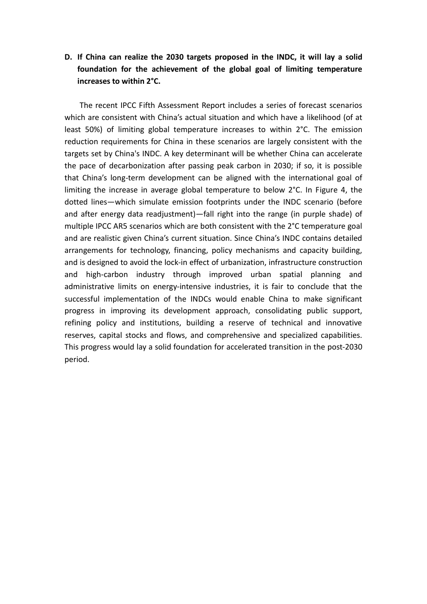# **D. If China can realize the 2030 targets proposed in the INDC, it will lay a solid foundation for the achievement of the global goal of limiting temperature increases to within 2°C.**

The recent IPCC Fifth Assessment Report includes a series of forecast scenarios which are consistent with China's actual situation and which have a likelihood (of at least 50%) of limiting global temperature increases to within 2°C. The emission reduction requirements for China in these scenarios are largely consistent with the targets set by China's INDC. A key determinant will be whether China can accelerate the pace of decarbonization after passing peak carbon in 2030; if so, it is possible that China's long-term development can be aligned with the international goal of limiting the increase in average global temperature to below 2°C. In Figure 4, the dotted lines—which simulate emission footprints under the INDC scenario (before and after energy data readjustment)—fall right into the range (in purple shade) of multiple IPCC AR5 scenarios which are both consistent with the 2°C temperature goal and are realistic given China's current situation. Since China's INDC contains detailed arrangements for technology, financing, policy mechanisms and capacity building, and is designed to avoid the lock-in effect of urbanization, infrastructure construction and high-carbon industry through improved urban spatial planning and administrative limits on energy-intensive industries, it is fair to conclude that the successful implementation of the INDCs would enable China to make significant progress in improving its development approach, consolidating public support, refining policy and institutions, building a reserve of technical and innovative reserves, capital stocks and flows, and comprehensive and specialized capabilities. This progress would lay a solid foundation for accelerated transition in the post-2030 period.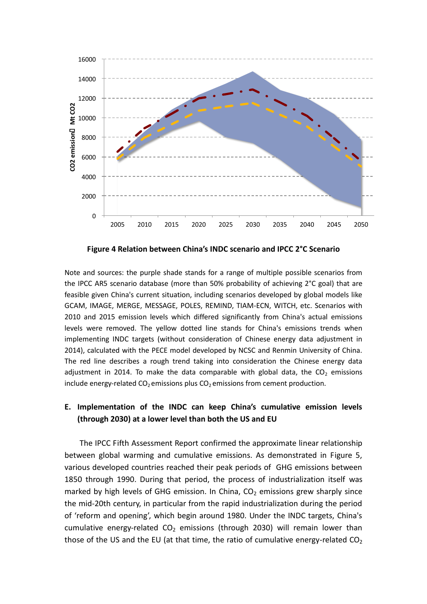

**Figure 4 Relation between China's INDC scenario and IPCC 2°C Scenario**

Note and sources: the purple shade stands for a range of multiple possible scenarios from the IPCC AR5 scenario database (more than 50% probability of achieving 2°C goal) that are feasible given China's current situation, including scenarios developed by global models like GCAM, IMAGE, MERGE, MESSAGE, POLES, REMIND, TIAM-ECN, WITCH, etc. Scenarios with 2010 and 2015 emission levels which differed significantly from China's actual emissions levels were removed. The yellow dotted line stands for China's emissions trends when implementing INDC targets (without consideration of Chinese energy data adjustment in 2014), calculated with the PECE model developed by NCSC and Renmin University of China. The red line describes a rough trend taking into consideration the Chinese energy data adjustment in 2014. To make the data comparable with global data, the  $CO<sub>2</sub>$  emissions include energy-related  $CO_2$  emissions plus  $CO_2$  emissions from cement production.

#### **E. Implementation of the INDC can keep China's cumulative emission levels (through 2030) at a lower level than both the US and EU**

The IPCC Fifth Assessment Report confirmed the approximate linear relationship between global warming and cumulative emissions. As demonstrated in Figure 5, various developed countries reached their peak periods of GHG emissions between 1850 through 1990. During that period, the process of industrialization itself was marked by high levels of GHG emission. In China,  $CO<sub>2</sub>$  emissions grew sharply since the mid-20th century, in particular from the rapid industrialization during the period of 'reform and opening', which begin around 1980. Under the INDC targets, China's cumulative energy-related  $CO<sub>2</sub>$  emissions (through 2030) will remain lower than those of the US and the EU (at that time, the ratio of cumulative energy-related  $CO<sub>2</sub>$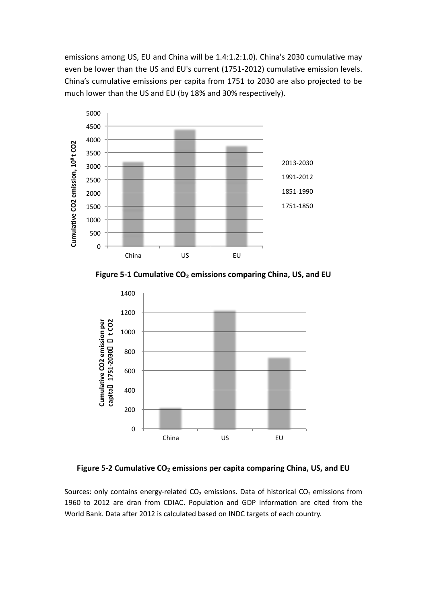emissions among US, EU and China will be 1.4:1.2:1.0). China's 2030 cumulative may even be lower than the US and EU's current (1751-2012) cumulative emission levels. China's cumulative emissions per capita from 1751 to 2030 are also projected to be much lower than the US and EU (by 18% and 30% respectively).



**Figure 5-1 Cumulative CO<sup>2</sup> emissions comparing China, US, and EU** 



**Figure 5-2 Cumulative CO<sup>2</sup> emissions per capita comparing China, US, and EU** 

Sources: only contains energy-related  $CO<sub>2</sub>$  emissions. Data of historical  $CO<sub>2</sub>$  emissions from 1960 to 2012 are dran from CDIAC. Population and GDP information are cited from the World Bank. Data after 2012 is calculated based on INDC targets of each country.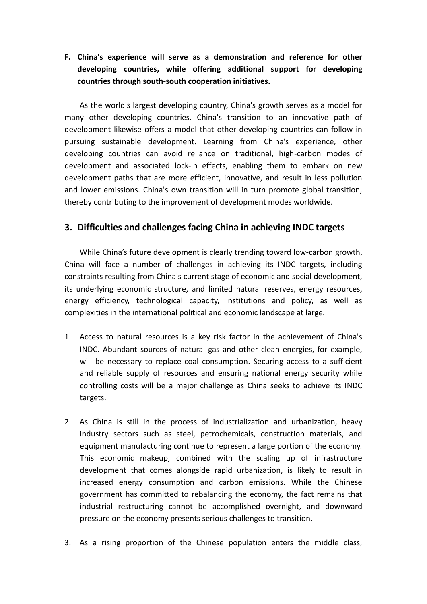**F. China's experience will serve as a demonstration and reference for other developing countries, while offering additional support for developing countries through south-south cooperation initiatives.**

As the world's largest developing country, China's growth serves as a model for many other developing countries. China's transition to an innovative path of development likewise offers a model that other developing countries can follow in pursuing sustainable development. Learning from China's experience, other developing countries can avoid reliance on traditional, high-carbon modes of development and associated lock-in effects, enabling them to embark on new development paths that are more efficient, innovative, and result in less pollution and lower emissions. China's own transition will in turn promote global transition, thereby contributing to the improvement of development modes worldwide.

## **3. Difficulties and challenges facing China in achieving INDC targets**

While China's future development is clearly trending toward low-carbon growth, China will face a number of challenges in achieving its INDC targets, including constraints resulting from China's current stage of economic and social development, its underlying economic structure, and limited natural reserves, energy resources, energy efficiency, technological capacity, institutions and policy, as well as complexities in the international political and economic landscape at large.

- 1. Access to natural resources is a key risk factor in the achievement of China's INDC. Abundant sources of natural gas and other clean energies, for example, will be necessary to replace coal consumption. Securing access to a sufficient and reliable supply of resources and ensuring national energy security while controlling costs will be a major challenge as China seeks to achieve its INDC targets.
- 2. As China is still in the process of industrialization and urbanization, heavy industry sectors such as steel, petrochemicals, construction materials, and equipment manufacturing continue to represent a large portion of the economy. This economic makeup, combined with the scaling up of infrastructure development that comes alongside rapid urbanization, is likely to result in increased energy consumption and carbon emissions. While the Chinese government has committed to rebalancing the economy, the fact remains that industrial restructuring cannot be accomplished overnight, and downward pressure on the economy presents serious challenges to transition.
- 3. As a rising proportion of the Chinese population enters the middle class,